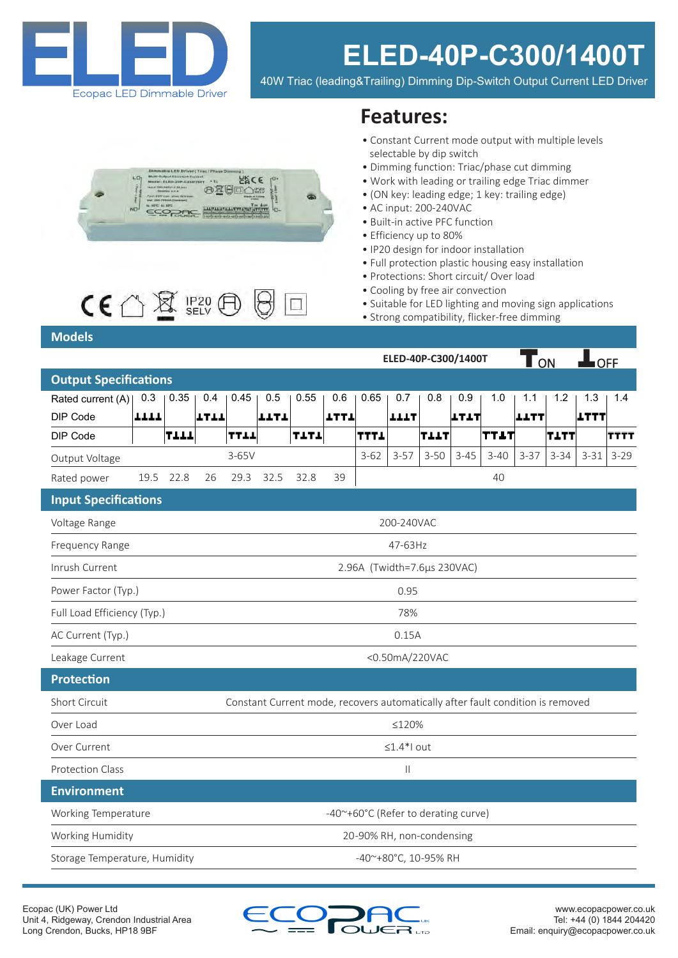

# **ELED-40P-C300/1400T**

40W Triac (leading&Trailing) Dimming Dip-Switch Output Current LED Driver





## **Models**

## **Features:**

- Constant Current mode output with multiple levels selectable by dip switch
- Dimming function: Triac/phase cut dimming
- Work with leading or trailing edge Triac dimmer
- (ON key: leading edge; 1 key: trailing edge)
- AC input: 200-240VAC
- Built-in active PFC function
- Efficiency up to 80%
- IP20 design for indoor installation
- Full protection plastic housing easy installation
- Protections: Short circuit/ Over load
- Cooling by free air convection

**ELED-40P-C300/1400T**

• Suitable for LED lighting and moving sign applications

 $\overline{\mathbf{T}}_{\alpha\alpha}$  of  $\mathbf{L}_{\alpha\alpha}$ 

• Strong compatibility, flicker-free dimming

|                               |      |      |              |                                                                                |      |      |             |             |             |          |             |          | <u> UN</u>  |          | <u>____</u> |             |  |
|-------------------------------|------|------|--------------|--------------------------------------------------------------------------------|------|------|-------------|-------------|-------------|----------|-------------|----------|-------------|----------|-------------|-------------|--|
| <b>Output Specifications</b>  |      |      |              |                                                                                |      |      |             |             |             |          |             |          |             |          |             |             |  |
| Rated current (A)             | 0.3  | 0.35 | 0.4          | 0.45                                                                           | 0.5  | 0.55 | 0.6         | 0.65        | 0.7         | 0.8      | 0.9         | 1.0      | 1.1         | 1.2      | 1.3         | 1.4         |  |
| DIP Code                      | TTTT |      | エエエエ         |                                                                                | エエエエ |      | <b>TTLT</b> |             | <b>TTTL</b> |          | <b>LTIT</b> |          | <b>LLTT</b> |          | <b>LTTT</b> |             |  |
| DIP Code                      |      | TIIL |              | TTIL                                                                           |      | TITI |             | <b>TTTL</b> |             | TILT     |             | TTLT     |             | TITT     |             | <b>TTTT</b> |  |
| Output Voltage                |      |      |              | $3-65V$                                                                        |      |      |             | $3 - 62$    | $3 - 57$    | $3 - 50$ | $3 - 45$    | $3 - 40$ | $3 - 37$    | $3 - 34$ | $3 - 31$    | $3 - 29$    |  |
| Rated power                   | 19.5 | 22.8 | 26           | 29.3                                                                           | 32.5 | 32.8 | 39          |             |             |          |             | 40       |             |          |             |             |  |
| <b>Input Specifications</b>   |      |      |              |                                                                                |      |      |             |             |             |          |             |          |             |          |             |             |  |
| Voltage Range                 |      |      |              |                                                                                |      |      |             |             | 200-240VAC  |          |             |          |             |          |             |             |  |
| Frequency Range               |      |      |              | 47-63Hz                                                                        |      |      |             |             |             |          |             |          |             |          |             |             |  |
| Inrush Current                |      |      |              | 2.96A (Twidth=7.6µs 230VAC)                                                    |      |      |             |             |             |          |             |          |             |          |             |             |  |
| Power Factor (Typ.)           |      |      |              | 0.95                                                                           |      |      |             |             |             |          |             |          |             |          |             |             |  |
| Full Load Efficiency (Typ.)   |      |      |              | 78%                                                                            |      |      |             |             |             |          |             |          |             |          |             |             |  |
| AC Current (Typ.)             |      |      |              | 0.15A                                                                          |      |      |             |             |             |          |             |          |             |          |             |             |  |
| Leakage Current               |      |      |              | <0.50mA/220VAC                                                                 |      |      |             |             |             |          |             |          |             |          |             |             |  |
| <b>Protection</b>             |      |      |              |                                                                                |      |      |             |             |             |          |             |          |             |          |             |             |  |
| Short Circuit                 |      |      |              | Constant Current mode, recovers automatically after fault condition is removed |      |      |             |             |             |          |             |          |             |          |             |             |  |
| Over Load                     |      |      |              | ≤120%                                                                          |      |      |             |             |             |          |             |          |             |          |             |             |  |
| Over Current                  |      |      |              | $\leq 1.4$ *l out                                                              |      |      |             |             |             |          |             |          |             |          |             |             |  |
| <b>Protection Class</b>       |      |      | $\vert\vert$ |                                                                                |      |      |             |             |             |          |             |          |             |          |             |             |  |
| <b>Environment</b>            |      |      |              |                                                                                |      |      |             |             |             |          |             |          |             |          |             |             |  |
| Working Temperature           |      |      |              | -40~+60°C (Refer to derating curve)                                            |      |      |             |             |             |          |             |          |             |          |             |             |  |
| Working Humidity              |      |      |              | 20-90% RH, non-condensing                                                      |      |      |             |             |             |          |             |          |             |          |             |             |  |
| Storage Temperature, Humidity |      |      |              | -40~+80°C, 10-95% RH                                                           |      |      |             |             |             |          |             |          |             |          |             |             |  |

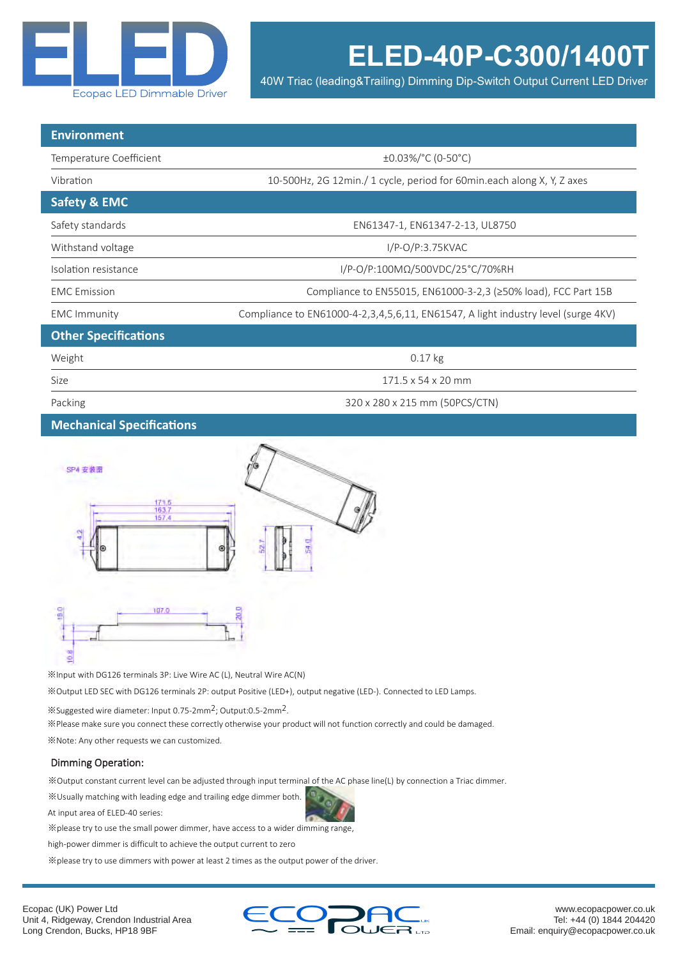

40W Triac (leading&Trailing) Dimming Dip-Switch Output Current LED Driver

| <b>Environment</b>          |                                                                                   |  |  |  |  |  |  |  |  |
|-----------------------------|-----------------------------------------------------------------------------------|--|--|--|--|--|--|--|--|
| Temperature Coefficient     | ±0.03%/°C (0-50°C)                                                                |  |  |  |  |  |  |  |  |
| Vibration                   | 10-500Hz, 2G 12min./ 1 cycle, period for 60min.each along X, Y, Z axes            |  |  |  |  |  |  |  |  |
| <b>Safety &amp; EMC</b>     |                                                                                   |  |  |  |  |  |  |  |  |
| Safety standards            | EN61347-1, EN61347-2-13, UL8750                                                   |  |  |  |  |  |  |  |  |
| Withstand voltage           | $I/P-O/P:3.75KVAC$                                                                |  |  |  |  |  |  |  |  |
| Isolation resistance        | I/P-O/P:100MΩ/500VDC/25°C/70%RH                                                   |  |  |  |  |  |  |  |  |
| <b>EMC</b> Emission         | Compliance to EN55015, EN61000-3-2,3 (≥50% load), FCC Part 15B                    |  |  |  |  |  |  |  |  |
| <b>EMC Immunity</b>         | Compliance to EN61000-4-2,3,4,5,6,11, EN61547, A light industry level (surge 4KV) |  |  |  |  |  |  |  |  |
| <b>Other Specifications</b> |                                                                                   |  |  |  |  |  |  |  |  |
| Weight                      | $0.17$ kg                                                                         |  |  |  |  |  |  |  |  |
| Size                        | $171.5 \times 54 \times 20$ mm                                                    |  |  |  |  |  |  |  |  |
| Packing                     | 320 x 280 x 215 mm (50PCS/CTN)                                                    |  |  |  |  |  |  |  |  |

#### **Mechanical Specifications**



※Input with DG126 terminals 3P: Live Wire AC (L), Neutral Wire AC(N) ※Output LED SEC with DG126 terminals 2P: output Positive (LED+), output negative (LED-). Connected to LED Lamps.

※Suggested wire diameter: Input 0.75-2mm2; Output:0.5-2mm2.

※Please make sure you connect these correctly otherwise your product will not function correctly and could be damaged.

※Note: Any other requests we can customized.

#### Dimming Operation:

※Output constant current level can be adjusted through input terminal of the AC phase line(L) by connection a Triac dimmer.

※Usually matching with leading edge and trailing edge dimmer both.

At input area of ELED-40 series:

※please try to use the small power dimmer, have access to a wider dimming range,

high-power dimmer is difficult to achieve the output current to zero

※please try to use dimmers with power at least 2 times as the output power of the driver.



www.ecopacpower.co.uk Tel: +44 (0) 1844 204420 Email: enquiry@ecopacpower.co.uk